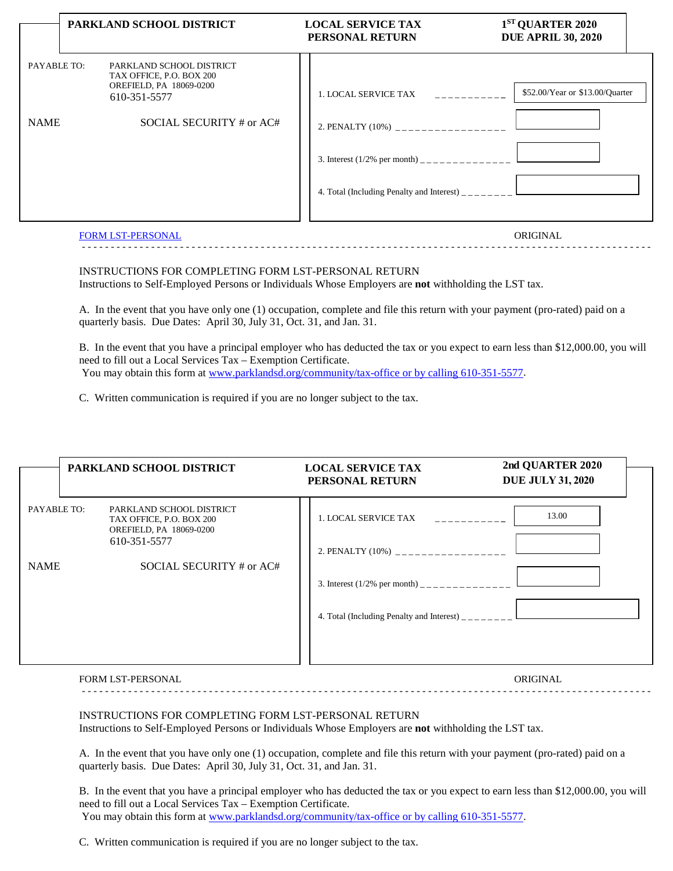|                            | PARKLAND SCHOOL DISTRICT                                                                                                    | <b>LOCAL SERVICE TAX</b><br>PERSONAL RETURN                                                                                                                                                                                                      | 1 <sup>ST</sup> QUARTER 2020<br><b>DUE APRIL 30, 2020</b> |
|----------------------------|-----------------------------------------------------------------------------------------------------------------------------|--------------------------------------------------------------------------------------------------------------------------------------------------------------------------------------------------------------------------------------------------|-----------------------------------------------------------|
| PAYABLE TO:<br><b>NAME</b> | PARKLAND SCHOOL DISTRICT<br>TAX OFFICE, P.O. BOX 200<br>OREFIELD, PA 18069-0200<br>610-351-5577<br>SOCIAL SECURITY # or AC# | 1. LOCAL SERVICE TAX<br><u>. 2222222222</u><br>2. PENALTY (10%) __________________<br>3. Interest $(1/2\%$ per month) _______________<br>4. Total (Including Penalty and Interest) $\frac{1}{1}$ = $\frac{1}{1}$ = $\frac{1}{1}$ = $\frac{1}{1}$ | \$52.00/Year or \$13.00/Quarter                           |
|                            | <b>FORM LST-PERSONAL</b>                                                                                                    |                                                                                                                                                                                                                                                  | ORIGINAL                                                  |

- - - - - - - - - - - - - - - - - - - - - - - - - - - - - - - - - - - - - - - - - - - - - - - - - - - - - - - - - - - - - - - - - - - - - - - - - - - - - - - - - - - - - - - - - - - - - - - - - - -

## INSTRUCTIONS FOR COMPLETING FORM LST-PERSONAL RETURN Instructions to Self-Employed Persons or Individuals Whose Employers are **not** withholding the LST tax.

A. In the event that you have only one (1) occupation, complete and file this return with your payment (pro-rated) paid on a quarterly basis. Due Dates: April 30, July 31, Oct. 31, and Jan. 31.

B. In the event that you have a principal employer who has deducted the tax or you expect to earn less than \$12,000.00, you will need to fill out a Local Services Tax – Exemption Certificate. You may obtain this form at [www.parklandsd.org/community/tax-office or by calling 610-351-5577.](http://www.parklandsd.org/community/tax-office%20or%20by%20calling%20610-351-5577)

C. Written communication is required if you are no longer subject to the tax.

|             | PARKLAND SCHOOL DISTRICT                                                                        | <b>LOCAL SERVICE TAX</b>                                                             | 2nd QUARTER 2020         |  |
|-------------|-------------------------------------------------------------------------------------------------|--------------------------------------------------------------------------------------|--------------------------|--|
|             |                                                                                                 | PERSONAL RETURN                                                                      | <b>DUE JULY 31, 2020</b> |  |
| PAYABLE TO: | PARKLAND SCHOOL DISTRICT<br>TAX OFFICE, P.O. BOX 200<br>OREFIELD, PA 18069-0200<br>610-351-5577 | 1. LOCAL SERVICE TAX<br><u> 1999 - Les Lu</u><br>2. PENALTY (10%) __________________ | 13.00                    |  |
| <b>NAME</b> | SOCIAL SECURITY # or AC#                                                                        |                                                                                      |                          |  |
|             |                                                                                                 |                                                                                      |                          |  |
|             |                                                                                                 | 4. Total (Including Penalty and Interest) $\frac{1}{2}$                              |                          |  |

## FORM LST-PERSONAL ORIGINAL

## INSTRUCTIONS FOR COMPLETING FORM LST-PERSONAL RETURN

- - - - - - - - - - - - - - - - - - - - - - - - - - - - - - - - - - - - - - - - - - - - - - - - - - - - - - - - - - - - - - - - - - - - - - - - - - - - - - - - - - - - - - - - - - - - - - - - - - -

Instructions to Self-Employed Persons or Individuals Whose Employers are **not** withholding the LST tax.

A. In the event that you have only one (1) occupation, complete and file this return with your payment (pro-rated) paid on a quarterly basis. Due Dates: April 30, July 31, Oct. 31, and Jan. 31.

B. In the event that you have a principal employer who has deducted the tax or you expect to earn less than \$12,000.00, you will need to fill out a Local Services Tax – Exemption Certificate. You may obtain this form at [www.parklandsd.org/community/tax-office or by calling 610-351-5577.](http://www.parklandsd.org/community/tax-office%20or%20by%20calling%20610-351-5577)

C. Written communication is required if you are no longer subject to the tax.